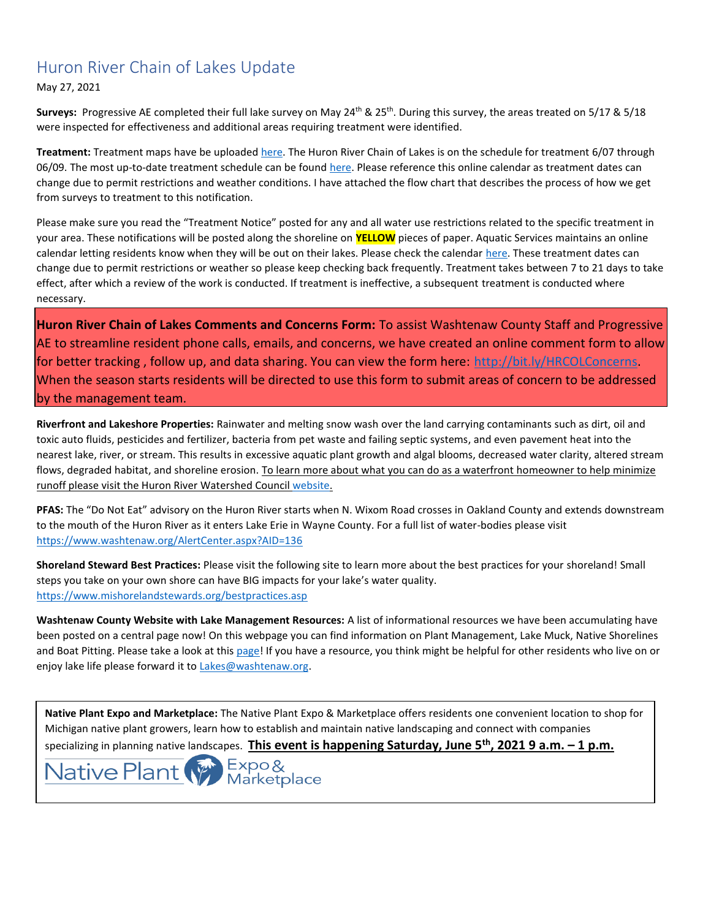# Huron River Chain of Lakes Update

May 27, 2021

Surveys: Progressive AE completed their full lake survey on May 24<sup>th</sup> & 25<sup>th</sup>. During this survey, the areas treated on 5/17 & 5/18 were inspected for effectiveness and additional areas requiring treatment were identified.

**Treatment:** Treatment maps have be uploaded [here.](https://www.washtenaw.org/799/Chain-of-Lakes-Weed-Control-Activities) The Huron River Chain of Lakes is on the schedule for treatment 6/07 through 06/09. The most up-to-date treatment schedule can be found [here.](https://www.aquaticservicesinc.info/schedules) Please reference this online calendar as treatment dates can change due to permit restrictions and weather conditions. I have attached the flow chart that describes the process of how we get from surveys to treatment to this notification.

Please make sure you read the "Treatment Notice" posted for any and all water use restrictions related to the specific treatment in your area. These notifications will be posted along the shoreline on **YELLOW** pieces of paper. Aquatic Services maintains an online calendar letting residents know when they will be out on their lakes. Please check the calendar [here.](https://www.aquaticservicesinc.info/schedules) These treatment dates can change due to permit restrictions or weather so please keep checking back frequently. Treatment takes between 7 to 21 days to take effect, after which a review of the work is conducted. If treatment is ineffective, a subsequent treatment is conducted where necessary.

**Huron River Chain of Lakes Comments and Concerns Form:** To assist Washtenaw County Staff and Progressive AE to streamline resident phone calls, emails, and concerns, we have created an online comment form to allow for better tracking , follow up, and data sharing. You can view the form here: [http://bit.ly/HRCOLConcerns.](https://gcc02.safelinks.protection.outlook.com/?url=http%3A%2F%2Fbit.ly%2FHRCOLConcerns&data=04%7C01%7Ckoloskil%40washtenaw.org%7C6a622974c24143abebd208d8c84e999f%7C940f79927c85414e8cb10632dd3a5282%7C0%7C0%7C637479587198163427%7CUnknown%7CTWFpbGZsb3d8eyJWIjoiMC4wLjAwMDAiLCJQIjoiV2luMzIiLCJBTiI6Ik1haWwiLCJXVCI6Mn0%3D%7C1000&sdata=yJ0KR77LtVnQXq36fAcvcp0TclE69cTj5Oe%2FtMo9kx0%3D&reserved=0) When the season starts residents will be directed to use this form to submit areas of concern to be addressed by the management team.

**Riverfront and Lakeshore Properties:** Rainwater and melting snow wash over the land carrying contaminants such as dirt, oil and toxic auto fluids, pesticides and fertilizer, bacteria from pet waste and failing septic systems, and even pavement heat into the nearest lake, river, or stream. This results in excessive aquatic plant growth and algal blooms, decreased water clarity, altered stream flows, degraded habitat, and shoreline erosion. To learn more about what you can do as a waterfront homeowner to help minimize runoff please visit the Huron River Watershed Council [website.](https://www.hrwc.org/take-action/at-home/riverfront-lakeshore-properties/)

**PFAS:** The "Do Not Eat" advisory on the Huron River starts when N. Wixom Road crosses in Oakland County and extends downstream to the mouth of the Huron River as it enters Lake Erie in Wayne County. For a full list of water-bodies please visit <https://www.washtenaw.org/AlertCenter.aspx?AID=136>

**Shoreland Steward Best Practices:** Please visit the following site to learn more about the best practices for your shoreland! Small steps you take on your own shore can have BIG impacts for your lake's water quality. [https://www.mishorelandstewards.org/bestpractices.asp](https://gcc01.safelinks.protection.outlook.com/?url=https%3A%2F%2Fwww.mishorelandstewards.org%2Fbestpractices.asp&data=02%7C01%7Ckoloskil%40washtenaw.org%7Cc1099d767abc47df4fd108d6ffc1b605%7C940f79927c85414e8cb10632dd3a5282%7C0%7C0%7C636977604786419415&sdata=y9VJuglOwLSYM%2F8PlrbVRfiz7aXv3RoGR2iMVcbKcuY%3D&reserved=0)

**Washtenaw County Website with Lake Management Resources:** A list of informational resources we have been accumulating have been posted on a central page now! On this webpage you can find information on Plant Management, Lake Muck, Native Shorelines and Boat Pitting. Please take a look at this [page!](https://www.washtenaw.org/3062/Lake-Management-Resources) If you have a resource, you think might be helpful for other residents who live on or enjoy lake life please forward it to [Lakes@washtenaw.org.](mailto:Lakes@washtenaw.org)

**Native Plant Expo and Marketplace:** The Native Plant Expo & Marketplace offers residents one convenient location to shop for Michigan native plant growers, learn how to establish and maintain native landscaping and connect with companies

specializing in planning native landscapes. **This event is happening Saturday, June 5th, 2021 9 a.m. – 1 p.m.**

Native Plant (Marketplace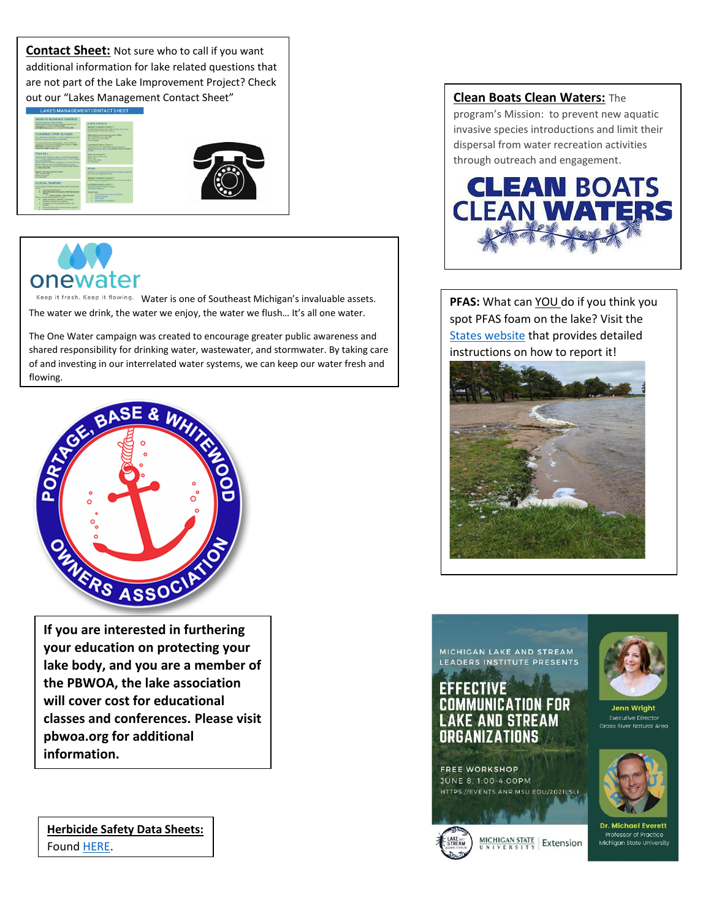**Contact Sheet:** Not sure who to call if you want additional information for lake related questions that are not part of the Lake Improvement Project? Check out our "Lakes Management Contact Sheet" **Clean Boats Clean Waters:** The





Keep it fresh. Keep it flowing. [W](https://semcog.org/mionewater)ater is one of Southeast Michigan's invaluable assets. The water we drink, the water we enjoy, the water we flush... It's all one water.

The One Water campaign was created to encourage greater public awareness and shared responsibility for drinking water, wastewater, and stormwater. By taking care of and investing in our interrelated water systems, we can keep our water fresh and flowing.



**If you are interested in furthering your education on protecting your lake body, and you are a member of the PBWOA, the lake association will cover cost for educational classes and conferences. Please visit pbwoa.org for additional information.**

**Herbicide Safety Data Sheets:** Found [HERE.](https://www.washtenaw.org/3183/Herbicide-Safety-Data-Sheets)

program's Mission: to prevent new aquatic invasive species introductions and limit their dispersal from water recreation activities through outreach and engagement.



**PFAS:** What can YOU do if you think you spot PFAS foam on the lake? Visit the [States website](https://www.michigan.gov/pfasresponse/0,9038,7-365-88059_91295---,00.html) that provides detailed instructions on how to report it!





### EFFECTIVE **COMMUNICATION FOR LAKE AND STREAM** ORGANIZATIONS

**FREE WORKSHOP** JUNE 8. 1:00-4:00PM HTTPS://EVENTS.ANR.MSU.EDU/2021LSLI

 $MICHIGAN STATE$  Extension



**Jenn Wright Executive Director Grass River Natural Area** 



**Dr. Michael Everett** Professor of Practice Michigan State University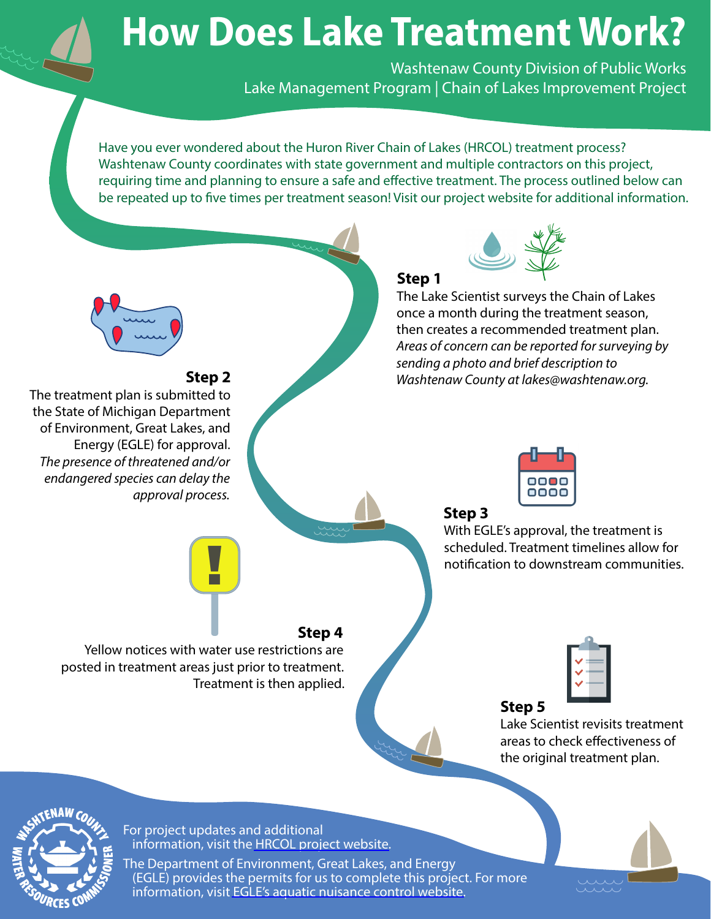# **How Does Lake Treatment Work?**

Washtenaw County Division of Public Works Lake Management Program | Chain of Lakes Improvement Project

Have you ever wondered about the Huron River Chain of Lakes (HRCOL) treatment process? Washtenaw County coordinates with state government and multiple contractors on this project, requiring time and planning to ensure a safe and effective treatment. The process outlined below can be repeated up to five times per treatment season! Visit our project website for additional information.





For project updates and additional information, visit the [HRCOL project website.](http://bit.ly/HRCOLemail)

The Department of Environment, Great Lakes, and Energy (EGLE) provides the permits for us to complete this project. For more information, visit [EGLE's aquatic nuisance control website.](http://bit.ly/EGLELakes)